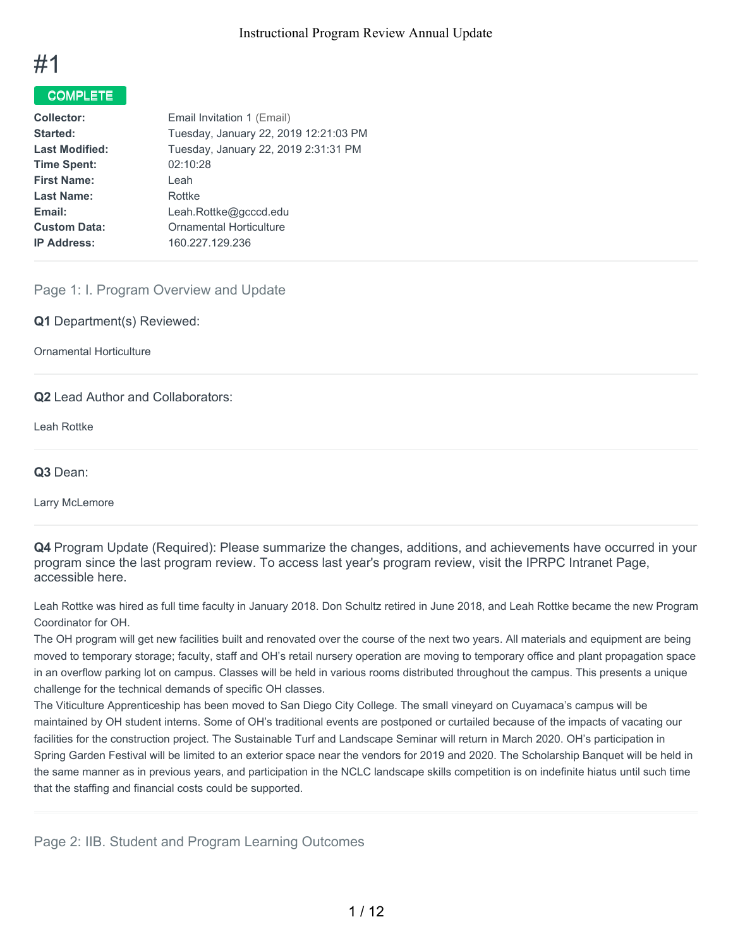

## COMPLETE

| Email Invitation 1 (Email)            |
|---------------------------------------|
| Tuesday, January 22, 2019 12:21:03 PM |
| Tuesday, January 22, 2019 2:31:31 PM  |
|                                       |
|                                       |
|                                       |
| Leah.Rottke@gcccd.edu                 |
| <b>Ornamental Horticulture</b>        |
| 160.227.129.236                       |
|                                       |

### Page 1: I. Program Overview and Update

**Q1** Department(s) Reviewed:

Ornamental Horticulture

**Q2** Lead Author and Collaborators:

Leah Rottke

**Q3** Dean:

Larry McLemore

**Q4** Program Update (Required): Please summarize the changes, additions, and achievements have occurred in your program since the last program review. To access last year's program review, visit the IPRPC Intranet Page, accessible here.

Leah Rottke was hired as full time faculty in January 2018. Don Schultz retired in June 2018, and Leah Rottke became the new Program Coordinator for OH.

The OH program will get new facilities built and renovated over the course of the next two years. All materials and equipment are being moved to temporary storage; faculty, staff and OH's retail nursery operation are moving to temporary office and plant propagation space in an overflow parking lot on campus. Classes will be held in various rooms distributed throughout the campus. This presents a unique challenge for the technical demands of specific OH classes.

The Viticulture Apprenticeship has been moved to San Diego City College. The small vineyard on Cuyamaca's campus will be maintained by OH student interns. Some of OH's traditional events are postponed or curtailed because of the impacts of vacating our facilities for the construction project. The Sustainable Turf and Landscape Seminar will return in March 2020. OH's participation in Spring Garden Festival will be limited to an exterior space near the vendors for 2019 and 2020. The Scholarship Banquet will be held in the same manner as in previous years, and participation in the NCLC landscape skills competition is on indefinite hiatus until such time that the staffing and financial costs could be supported.

Page 2: IIB. Student and Program Learning Outcomes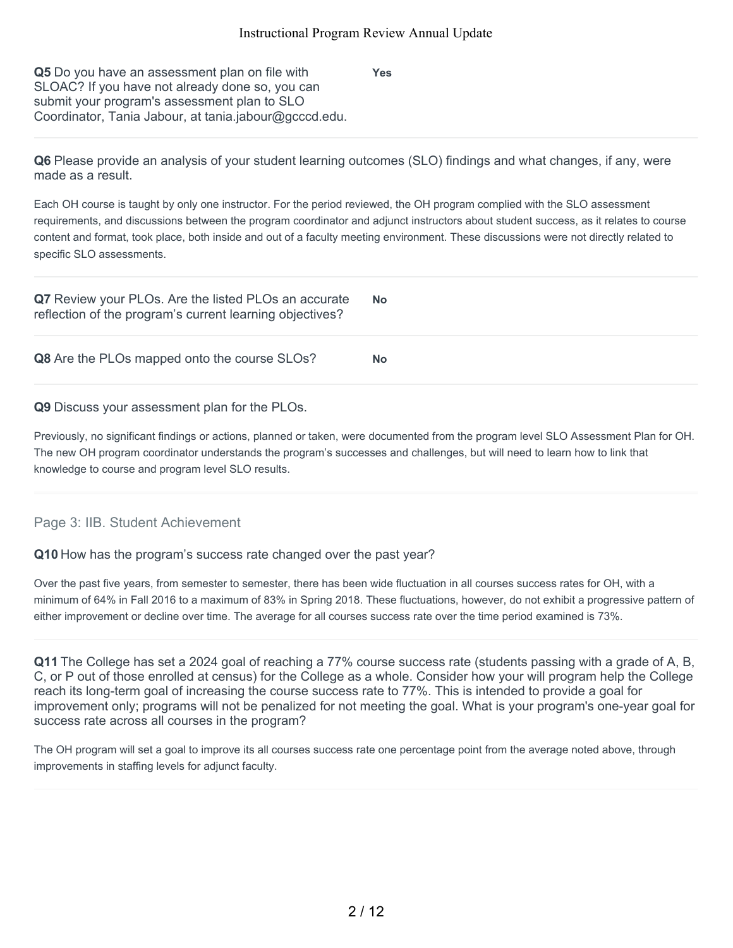**Yes**

**Q5** Do you have an assessment plan on file with SLOAC? If you have not already done so, you can submit your program's assessment plan to SLO Coordinator, Tania Jabour, at tania.jabour@gcccd.edu.

**Q6** Please provide an analysis of your student learning outcomes (SLO) findings and what changes, if any, were made as a result.

Each OH course is taught by only one instructor. For the period reviewed, the OH program complied with the SLO assessment requirements, and discussions between the program coordinator and adjunct instructors about student success, as it relates to course content and format, took place, both inside and out of a faculty meeting environment. These discussions were not directly related to specific SLO assessments.

| Q7 Review your PLOs. Are the listed PLOs an accurate<br>reflection of the program's current learning objectives? | <b>No</b> |
|------------------------------------------------------------------------------------------------------------------|-----------|
| Q8 Are the PLOs mapped onto the course SLOs?                                                                     | <b>No</b> |

**Q9** Discuss your assessment plan for the PLOs.

Previously, no significant findings or actions, planned or taken, were documented from the program level SLO Assessment Plan for OH. The new OH program coordinator understands the program's successes and challenges, but will need to learn how to link that knowledge to course and program level SLO results.

## Page 3: IIB. Student Achievement

**Q10** How has the program's success rate changed over the past year?

Over the past five years, from semester to semester, there has been wide fluctuation in all courses success rates for OH, with a minimum of 64% in Fall 2016 to a maximum of 83% in Spring 2018. These fluctuations, however, do not exhibit a progressive pattern of either improvement or decline over time. The average for all courses success rate over the time period examined is 73%.

**Q11** The College has set a 2024 goal of reaching a 77% course success rate (students passing with a grade of A, B, C, or P out of those enrolled at census) for the College as a whole. Consider how your will program help the College reach its long-term goal of increasing the course success rate to 77%. This is intended to provide a goal for improvement only; programs will not be penalized for not meeting the goal. What is your program's one-year goal for success rate across all courses in the program?

The OH program will set a goal to improve its all courses success rate one percentage point from the average noted above, through improvements in staffing levels for adjunct faculty.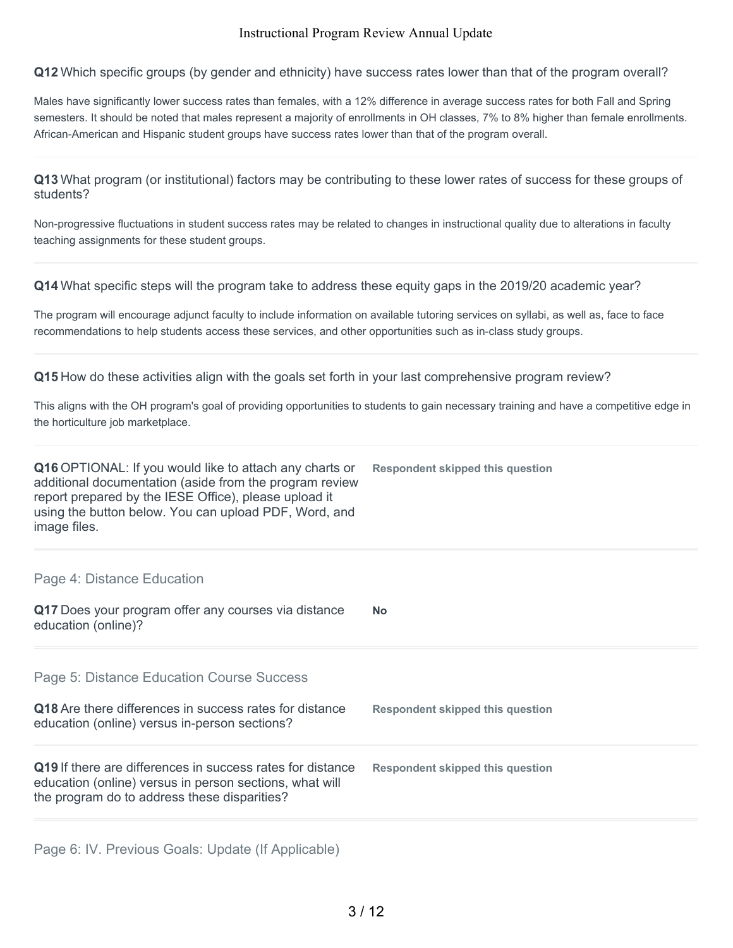**Q12** Which specific groups (by gender and ethnicity) have success rates lower than that of the program overall?

Males have significantly lower success rates than females, with a 12% difference in average success rates for both Fall and Spring semesters. It should be noted that males represent a majority of enrollments in OH classes, 7% to 8% higher than female enrollments. African-American and Hispanic student groups have success rates lower than that of the program overall.

**Q13** What program (or institutional) factors may be contributing to these lower rates of success for these groups of students?

Non-progressive fluctuations in student success rates may be related to changes in instructional quality due to alterations in faculty teaching assignments for these student groups.

**Q14** What specific steps will the program take to address these equity gaps in the 2019/20 academic year?

The program will encourage adjunct faculty to include information on available tutoring services on syllabi, as well as, face to face recommendations to help students access these services, and other opportunities such as in-class study groups.

**Q15** How do these activities align with the goals set forth in your last comprehensive program review?

This aligns with the OH program's goal of providing opportunities to students to gain necessary training and have a competitive edge in the horticulture job marketplace.

| Q16 OPTIONAL: If you would like to attach any charts or<br>additional documentation (aside from the program review<br>report prepared by the IESE Office), please upload it<br>using the button below. You can upload PDF, Word, and<br>image files. | Respondent skipped this question |
|------------------------------------------------------------------------------------------------------------------------------------------------------------------------------------------------------------------------------------------------------|----------------------------------|
|------------------------------------------------------------------------------------------------------------------------------------------------------------------------------------------------------------------------------------------------------|----------------------------------|

#### Page 4: Distance Education

**Q17** Does your program offer any courses via distance education (online)? **No**

Page 5: Distance Education Course Success

| Q18 Are there differences in success rates for distance<br>education (online) versus in-person sections?                                                              | Respondent skipped this question |
|-----------------------------------------------------------------------------------------------------------------------------------------------------------------------|----------------------------------|
| Q19 If there are differences in success rates for distance<br>education (online) versus in person sections, what will<br>the program do to address these disparities? | Respondent skipped this question |

Page 6: IV. Previous Goals: Update (If Applicable)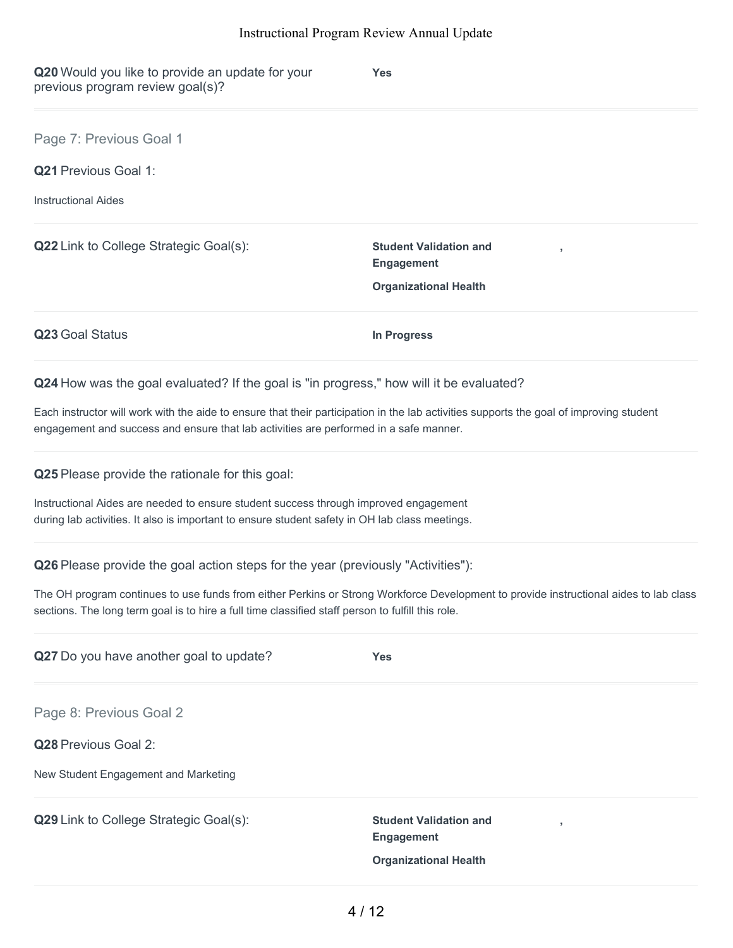| Q20 Would you like to provide an update for your<br>previous program review goal(s)?                                                                                                                                                       | Yes                                                                                |
|--------------------------------------------------------------------------------------------------------------------------------------------------------------------------------------------------------------------------------------------|------------------------------------------------------------------------------------|
| Page 7: Previous Goal 1                                                                                                                                                                                                                    |                                                                                    |
| <b>Q21 Previous Goal 1:</b>                                                                                                                                                                                                                |                                                                                    |
| <b>Instructional Aides</b>                                                                                                                                                                                                                 |                                                                                    |
| Q22 Link to College Strategic Goal(s):                                                                                                                                                                                                     | <b>Student Validation and</b><br><b>Engagement</b>                                 |
|                                                                                                                                                                                                                                            | <b>Organizational Health</b>                                                       |
| Q23 Goal Status                                                                                                                                                                                                                            | <b>In Progress</b>                                                                 |
| Q24 How was the goal evaluated? If the goal is "in progress," how will it be evaluated?                                                                                                                                                    |                                                                                    |
| Each instructor will work with the aide to ensure that their participation in the lab activities supports the goal of improving student<br>engagement and success and ensure that lab activities are performed in a safe manner.           |                                                                                    |
| Q25 Please provide the rationale for this goal:                                                                                                                                                                                            |                                                                                    |
| Instructional Aides are needed to ensure student success through improved engagement<br>during lab activities. It also is important to ensure student safety in OH lab class meetings.                                                     |                                                                                    |
| Q26 Please provide the goal action steps for the year (previously "Activities"):                                                                                                                                                           |                                                                                    |
| The OH program continues to use funds from either Perkins or Strong Workforce Development to provide instructional aides to lab class<br>sections. The long term goal is to hire a full time classified staff person to fulfill this role. |                                                                                    |
| Q27 Do you have another goal to update?                                                                                                                                                                                                    | <b>Yes</b>                                                                         |
| Page 8: Previous Goal 2                                                                                                                                                                                                                    |                                                                                    |
| Q28 Previous Goal 2:                                                                                                                                                                                                                       |                                                                                    |
| New Student Engagement and Marketing                                                                                                                                                                                                       |                                                                                    |
| Q29 Link to College Strategic Goal(s):                                                                                                                                                                                                     | <b>Student Validation and</b><br><b>Engagement</b><br><b>Organizational Health</b> |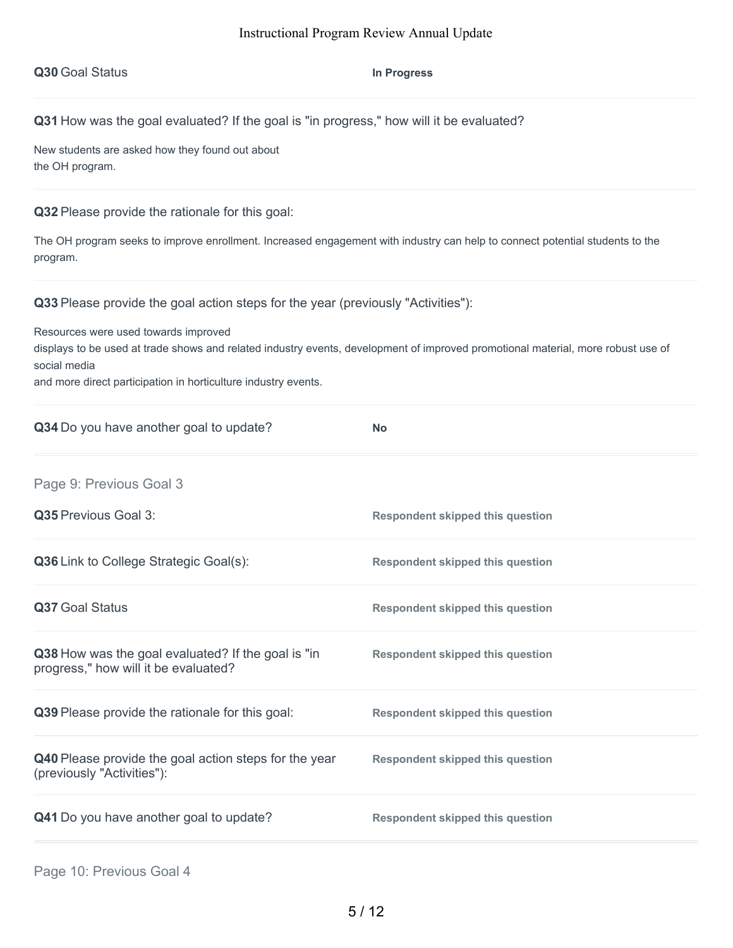|  |  | Q30 Goal Status |
|--|--|-----------------|
|--|--|-----------------|

**In** Progress

**Q31** How was the goal evaluated? If the goal is "in progress," how will it be evaluated?

New students are asked how they found out about the OH program.

**Q32** Please provide the rationale for this goal:

The OH program seeks to improve enrollment. Increased engagement with industry can help to connect potential students to the program.

**Q33** Please provide the goal action steps for the year (previously "Activities"):

Resources were used towards improved

displays to be used at trade shows and related industry events, development of improved promotional material, more robust use of social media

and more direct participation in horticulture industry events.

| Q34 Do you have another goal to update?                                                    | <b>No</b>                               |
|--------------------------------------------------------------------------------------------|-----------------------------------------|
| Page 9: Previous Goal 3                                                                    |                                         |
| Q35 Previous Goal 3:                                                                       | <b>Respondent skipped this question</b> |
| Q36 Link to College Strategic Goal(s):                                                     | <b>Respondent skipped this question</b> |
| Q37 Goal Status                                                                            | <b>Respondent skipped this question</b> |
| Q38 How was the goal evaluated? If the goal is "in<br>progress," how will it be evaluated? | <b>Respondent skipped this question</b> |
| Q39 Please provide the rationale for this goal:                                            | <b>Respondent skipped this question</b> |
| Q40 Please provide the goal action steps for the year<br>(previously "Activities"):        | <b>Respondent skipped this question</b> |
| Q41 Do you have another goal to update?                                                    | <b>Respondent skipped this question</b> |
|                                                                                            |                                         |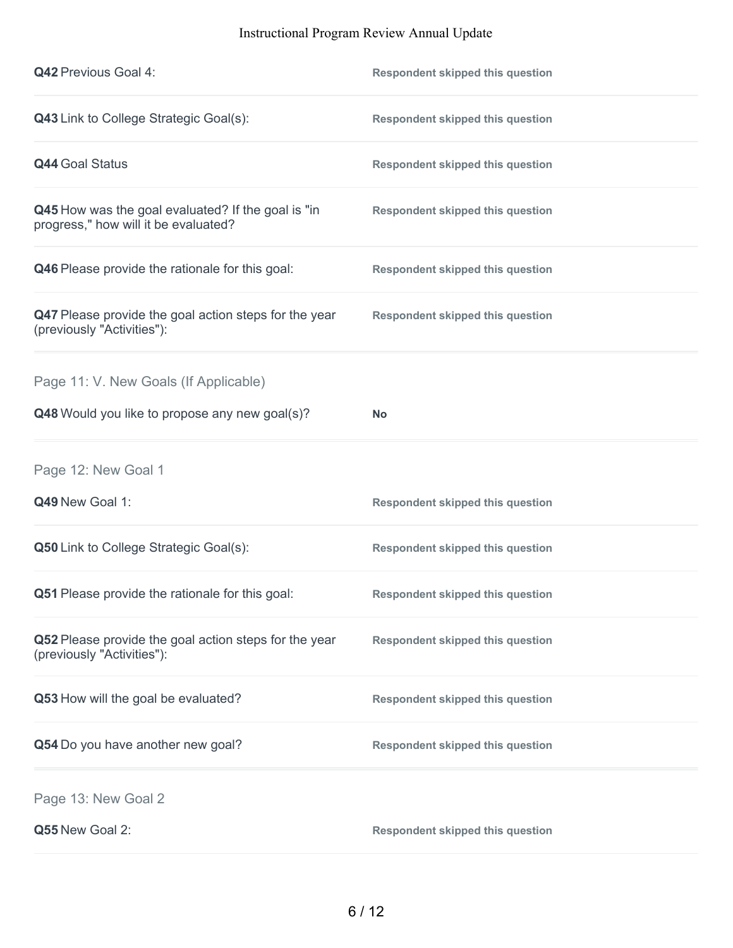| <b>Q42 Previous Goal 4:</b>                                                                | <b>Respondent skipped this question</b> |
|--------------------------------------------------------------------------------------------|-----------------------------------------|
| <b>Q43</b> Link to College Strategic Goal(s):                                              | <b>Respondent skipped this question</b> |
| <b>Q44 Goal Status</b>                                                                     | <b>Respondent skipped this question</b> |
| Q45 How was the goal evaluated? If the goal is "in<br>progress," how will it be evaluated? | <b>Respondent skipped this question</b> |
| Q46 Please provide the rationale for this goal:                                            | <b>Respondent skipped this question</b> |
| Q47 Please provide the goal action steps for the year<br>(previously "Activities"):        | <b>Respondent skipped this question</b> |
| Page 11: V. New Goals (If Applicable)                                                      |                                         |
| Q48 Would you like to propose any new goal(s)?                                             | <b>No</b>                               |
| Page 12: New Goal 1                                                                        |                                         |
|                                                                                            |                                         |
| Q49 New Goal 1:                                                                            | <b>Respondent skipped this question</b> |
| <b>Q50</b> Link to College Strategic Goal(s):                                              | <b>Respondent skipped this question</b> |
| Q51 Please provide the rationale for this goal:                                            | <b>Respondent skipped this question</b> |
| Q52 Please provide the goal action steps for the year<br>(previously "Activities"):        | <b>Respondent skipped this question</b> |
| Q53 How will the goal be evaluated?                                                        | <b>Respondent skipped this question</b> |
| Q54 Do you have another new goal?                                                          | <b>Respondent skipped this question</b> |
| Page 13: New Goal 2                                                                        |                                         |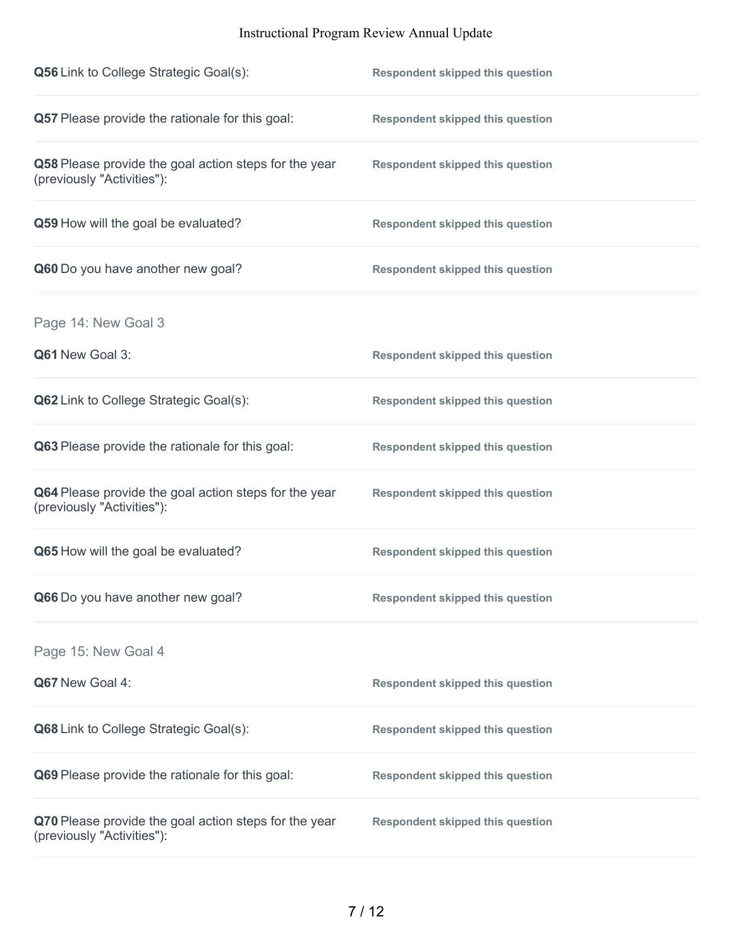| <b>Q56</b> Link to College Strategic Goal(s):                                       | <b>Respondent skipped this question</b> |
|-------------------------------------------------------------------------------------|-----------------------------------------|
| Q57 Please provide the rationale for this goal:                                     | <b>Respondent skipped this question</b> |
| Q58 Please provide the goal action steps for the year<br>(previously "Activities"): | <b>Respondent skipped this question</b> |
| Q59 How will the goal be evaluated?                                                 | <b>Respondent skipped this question</b> |
| Q60 Do you have another new goal?                                                   | <b>Respondent skipped this question</b> |
| Page 14: New Goal 3                                                                 |                                         |
| Q61 New Goal 3:                                                                     | <b>Respondent skipped this question</b> |
| <b>Q62</b> Link to College Strategic Goal(s):                                       | <b>Respondent skipped this question</b> |
| Q63 Please provide the rationale for this goal:                                     | <b>Respondent skipped this question</b> |
| Q64 Please provide the goal action steps for the year<br>(previously "Activities"): | <b>Respondent skipped this question</b> |
| Q65 How will the goal be evaluated?                                                 | <b>Respondent skipped this question</b> |
| Q66 Do you have another new goal?                                                   | <b>Respondent skipped this question</b> |
| Page 15: New Goal 4                                                                 |                                         |
| Q67 New Goal 4:                                                                     | <b>Respondent skipped this question</b> |
| Q68 Link to College Strategic Goal(s):                                              | <b>Respondent skipped this question</b> |
| Q69 Please provide the rationale for this goal:                                     | <b>Respondent skipped this question</b> |
| Q70 Please provide the goal action steps for the year<br>(previously "Activities"): | <b>Respondent skipped this question</b> |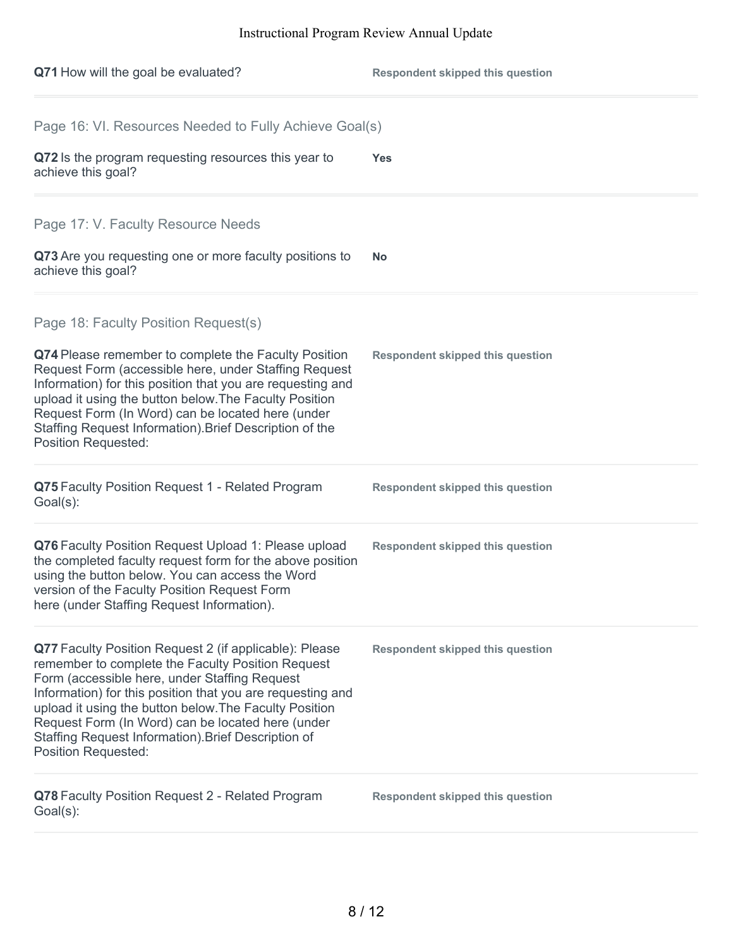| Q71 How will the goal be evaluated?                                                                                                                                                                                                                                                                                                                                                                                            | <b>Respondent skipped this question</b> |
|--------------------------------------------------------------------------------------------------------------------------------------------------------------------------------------------------------------------------------------------------------------------------------------------------------------------------------------------------------------------------------------------------------------------------------|-----------------------------------------|
| Page 16: VI. Resources Needed to Fully Achieve Goal(s)                                                                                                                                                                                                                                                                                                                                                                         |                                         |
| Q72 Is the program requesting resources this year to<br>achieve this goal?                                                                                                                                                                                                                                                                                                                                                     | <b>Yes</b>                              |
| Page 17: V. Faculty Resource Needs                                                                                                                                                                                                                                                                                                                                                                                             |                                         |
| Q73 Are you requesting one or more faculty positions to<br>achieve this goal?                                                                                                                                                                                                                                                                                                                                                  | No.                                     |
| Page 18: Faculty Position Request(s)                                                                                                                                                                                                                                                                                                                                                                                           |                                         |
| Q74 Please remember to complete the Faculty Position<br>Request Form (accessible here, under Staffing Request<br>Information) for this position that you are requesting and<br>upload it using the button below. The Faculty Position<br>Request Form (In Word) can be located here (under<br>Staffing Request Information). Brief Description of the<br><b>Position Requested:</b>                                            | <b>Respondent skipped this question</b> |
| Q75 Faculty Position Request 1 - Related Program<br>$Goal(s)$ :                                                                                                                                                                                                                                                                                                                                                                | <b>Respondent skipped this question</b> |
| Q76 Faculty Position Request Upload 1: Please upload<br>the completed faculty request form for the above position<br>using the button below. You can access the Word<br>version of the Faculty Position Request Form<br>here (under Staffing Request Information).                                                                                                                                                             | <b>Respondent skipped this question</b> |
| Q77 Faculty Position Request 2 (if applicable): Please<br>remember to complete the Faculty Position Request<br>Form (accessible here, under Staffing Request<br>Information) for this position that you are requesting and<br>upload it using the button below. The Faculty Position<br>Request Form (In Word) can be located here (under<br>Staffing Request Information). Brief Description of<br><b>Position Requested:</b> | <b>Respondent skipped this question</b> |
| Q78 Faculty Position Request 2 - Related Program<br>$Goal(s)$ :                                                                                                                                                                                                                                                                                                                                                                | <b>Respondent skipped this question</b> |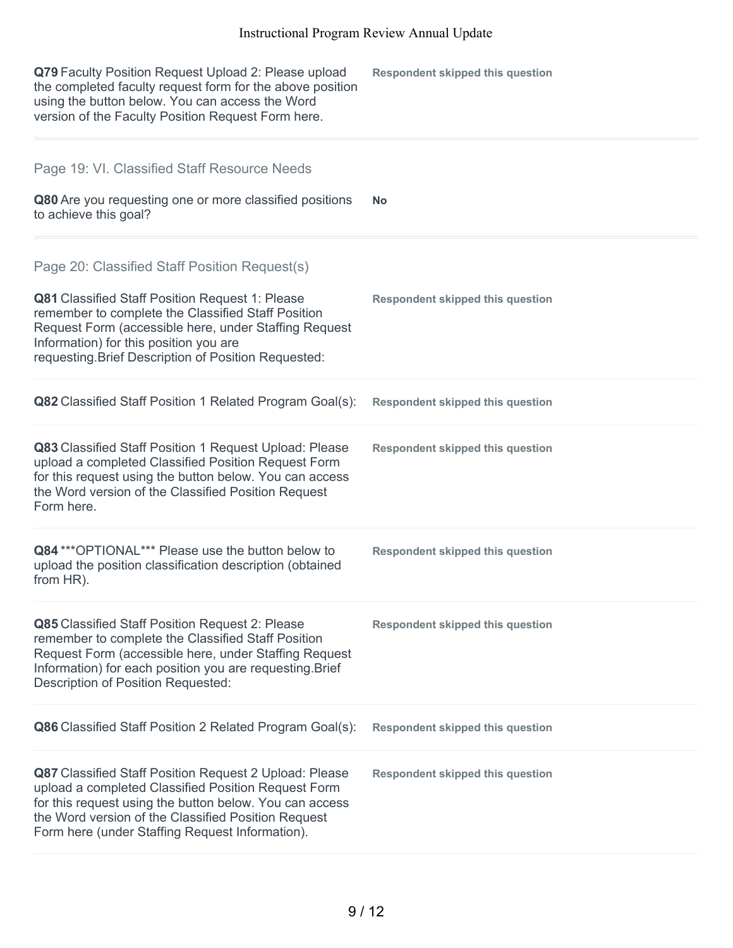| Q79 Faculty Position Request Upload 2: Please upload<br>the completed faculty request form for the above position<br>using the button below. You can access the Word<br>version of the Faculty Position Request Form here.                                                                                               | <b>Respondent skipped this question</b> |
|--------------------------------------------------------------------------------------------------------------------------------------------------------------------------------------------------------------------------------------------------------------------------------------------------------------------------|-----------------------------------------|
| Page 19: VI. Classified Staff Resource Needs<br>Q80 Are you requesting one or more classified positions<br>to achieve this goal?                                                                                                                                                                                         | No.                                     |
| Page 20: Classified Staff Position Request(s)<br><b>Q81</b> Classified Staff Position Request 1: Please<br>remember to complete the Classified Staff Position<br>Request Form (accessible here, under Staffing Request<br>Information) for this position you are<br>requesting. Brief Description of Position Requested: | <b>Respondent skipped this question</b> |
| Q82 Classified Staff Position 1 Related Program Goal(s):                                                                                                                                                                                                                                                                 | <b>Respondent skipped this question</b> |
| Q83 Classified Staff Position 1 Request Upload: Please<br>upload a completed Classified Position Request Form<br>for this request using the button below. You can access<br>the Word version of the Classified Position Request<br>Form here.                                                                            | <b>Respondent skipped this question</b> |
| Q84 *** OPTIONAL*** Please use the button below to<br>upload the position classification description (obtained<br>from HR).                                                                                                                                                                                              | <b>Respondent skipped this question</b> |
| <b>Q85</b> Classified Staff Position Request 2: Please<br>remember to complete the Classified Staff Position<br>Request Form (accessible here, under Staffing Request<br>Information) for each position you are requesting. Brief<br><b>Description of Position Requested:</b>                                           | <b>Respondent skipped this question</b> |
| <b>Q86</b> Classified Staff Position 2 Related Program Goal(s):                                                                                                                                                                                                                                                          | <b>Respondent skipped this question</b> |
| Q87 Classified Staff Position Request 2 Upload: Please<br>upload a completed Classified Position Request Form<br>for this request using the button below. You can access<br>the Word version of the Classified Position Request<br>Form here (under Staffing Request Information).                                       | <b>Respondent skipped this question</b> |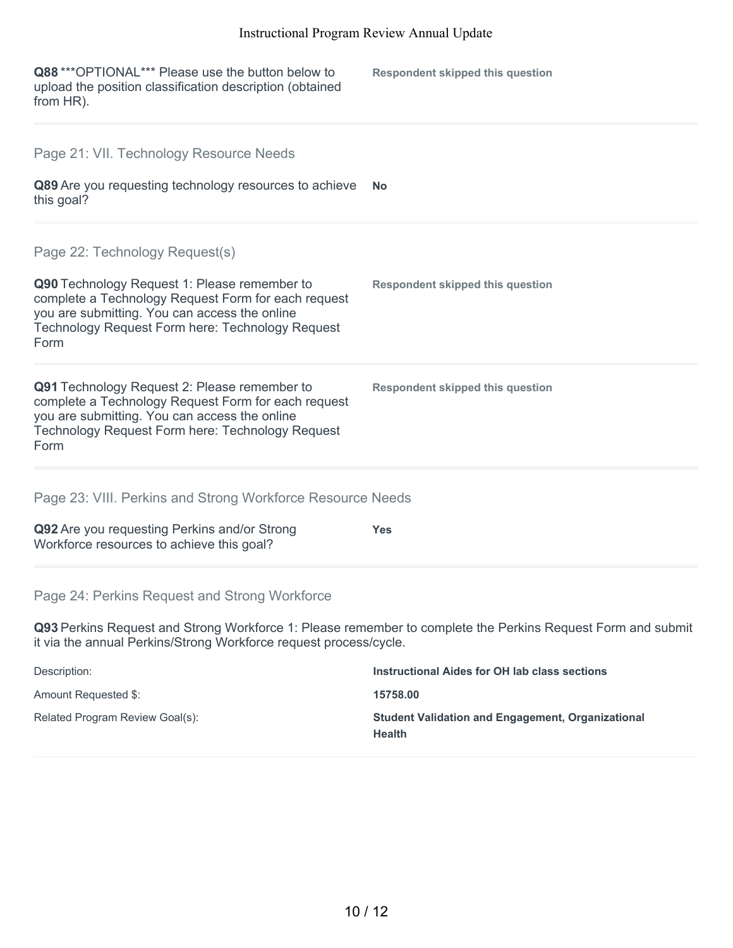| Q88 *** OPTIONAL*** Please use the button below to<br>upload the position classification description (obtained<br>from HR).                                                                                      | <b>Respondent skipped this question</b>                                                                     |
|------------------------------------------------------------------------------------------------------------------------------------------------------------------------------------------------------------------|-------------------------------------------------------------------------------------------------------------|
| Page 21: VII. Technology Resource Needs                                                                                                                                                                          |                                                                                                             |
| Q89 Are you requesting technology resources to achieve<br>this goal?                                                                                                                                             | <b>No</b>                                                                                                   |
| Page 22: Technology Request(s)                                                                                                                                                                                   |                                                                                                             |
| Q90 Technology Request 1: Please remember to<br>complete a Technology Request Form for each request<br>you are submitting. You can access the online<br>Technology Request Form here: Technology Request<br>Form | <b>Respondent skipped this question</b>                                                                     |
| Q91 Technology Request 2: Please remember to<br>complete a Technology Request Form for each request<br>you are submitting. You can access the online<br>Technology Request Form here: Technology Request<br>Form | <b>Respondent skipped this question</b>                                                                     |
| Page 23: VIII. Perkins and Strong Workforce Resource Needs                                                                                                                                                       |                                                                                                             |
| Q92 Are you requesting Perkins and/or Strong<br>Workforce resources to achieve this goal?                                                                                                                        | <b>Yes</b>                                                                                                  |
| Page 24: Perkins Request and Strong Workforce                                                                                                                                                                    |                                                                                                             |
| it via the annual Perkins/Strong Workforce request process/cycle.                                                                                                                                                | Q93 Perkins Request and Strong Workforce 1: Please remember to complete the Perkins Request Form and submit |

| Description:                    | Instructional Aides for OH lab class sections                             |
|---------------------------------|---------------------------------------------------------------------------|
| Amount Requested \$:            | 15758.00                                                                  |
| Related Program Review Goal(s): | <b>Student Validation and Engagement, Organizational</b><br><b>Health</b> |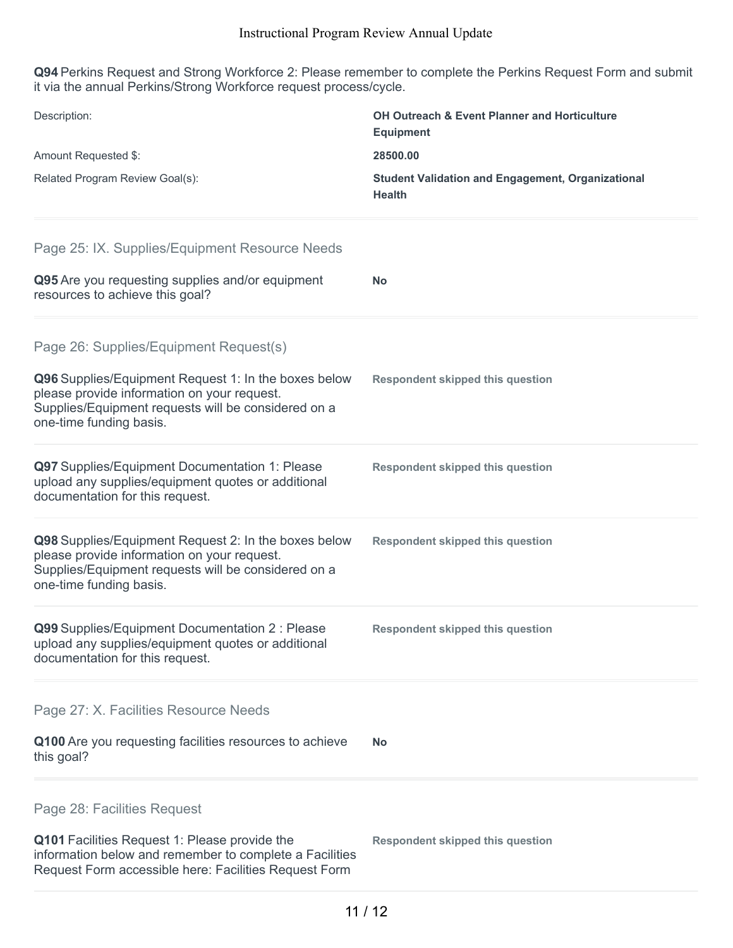**Q94** Perkins Request and Strong Workforce 2: Please remember to complete the Perkins Request Form and submit it via the annual Perkins/Strong Workforce request process/cycle.

| Description:                                                                                                                                                                          | <b>OH Outreach &amp; Event Planner and Horticulture</b><br><b>Equipment</b> |
|---------------------------------------------------------------------------------------------------------------------------------------------------------------------------------------|-----------------------------------------------------------------------------|
| Amount Requested \$:                                                                                                                                                                  | 28500.00                                                                    |
| Related Program Review Goal(s):                                                                                                                                                       | <b>Student Validation and Engagement, Organizational</b><br><b>Health</b>   |
| Page 25: IX. Supplies/Equipment Resource Needs                                                                                                                                        |                                                                             |
| Q95 Are you requesting supplies and/or equipment<br>resources to achieve this goal?                                                                                                   | <b>No</b>                                                                   |
| Page 26: Supplies/Equipment Request(s)                                                                                                                                                |                                                                             |
| Q96 Supplies/Equipment Request 1: In the boxes below<br>please provide information on your request.<br>Supplies/Equipment requests will be considered on a<br>one-time funding basis. | <b>Respondent skipped this question</b>                                     |
| Q97 Supplies/Equipment Documentation 1: Please<br>upload any supplies/equipment quotes or additional<br>documentation for this request.                                               | <b>Respondent skipped this question</b>                                     |
| Q98 Supplies/Equipment Request 2: In the boxes below<br>please provide information on your request.<br>Supplies/Equipment requests will be considered on a<br>one-time funding basis. | <b>Respondent skipped this question</b>                                     |
| Q99 Supplies/Equipment Documentation 2 : Please<br>upload any supplies/equipment quotes or additional<br>documentation for this request.                                              | <b>Respondent skipped this question</b>                                     |
| Page 27: X. Facilities Resource Needs                                                                                                                                                 |                                                                             |
| Q100 Are you requesting facilities resources to achieve<br>this goal?                                                                                                                 | <b>No</b>                                                                   |
| Page 28: Facilities Request                                                                                                                                                           |                                                                             |
| Q101 Facilities Request 1: Please provide the<br>information below and remember to complete a Facilities<br>Request Form accessible here: Facilities Request Form                     | <b>Respondent skipped this question</b>                                     |